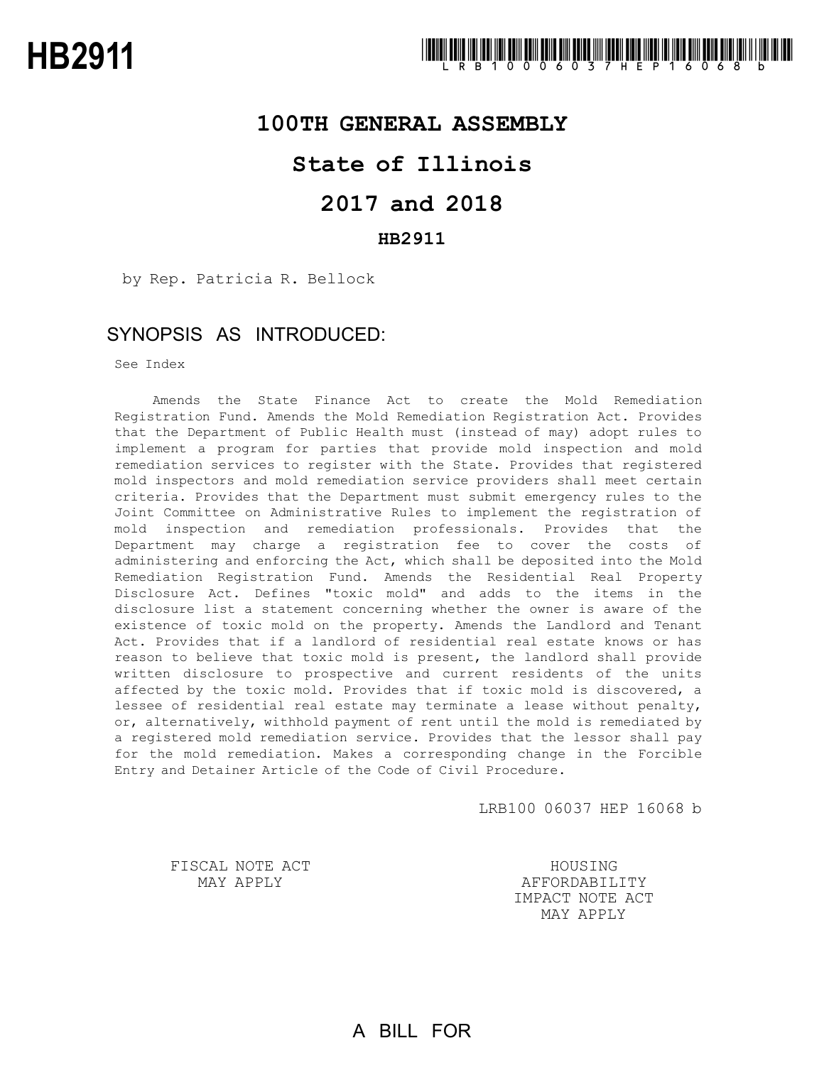#### **100TH GENERAL ASSEMBLY**

### **State of Illinois**

# **2017 and 2018**

#### **HB2911**

by Rep. Patricia R. Bellock

#### SYNOPSIS AS INTRODUCED:

See Index

Amends the State Finance Act to create the Mold Remediation Registration Fund. Amends the Mold Remediation Registration Act. Provides that the Department of Public Health must (instead of may) adopt rules to implement a program for parties that provide mold inspection and mold remediation services to register with the State. Provides that registered mold inspectors and mold remediation service providers shall meet certain criteria. Provides that the Department must submit emergency rules to the Joint Committee on Administrative Rules to implement the registration of mold inspection and remediation professionals. Provides that the Department may charge a registration fee to cover the costs of administering and enforcing the Act, which shall be deposited into the Mold Remediation Registration Fund. Amends the Residential Real Property Disclosure Act. Defines "toxic mold" and adds to the items in the disclosure list a statement concerning whether the owner is aware of the existence of toxic mold on the property. Amends the Landlord and Tenant Act. Provides that if a landlord of residential real estate knows or has reason to believe that toxic mold is present, the landlord shall provide written disclosure to prospective and current residents of the units affected by the toxic mold. Provides that if toxic mold is discovered, a lessee of residential real estate may terminate a lease without penalty, or, alternatively, withhold payment of rent until the mold is remediated by a registered mold remediation service. Provides that the lessor shall pay for the mold remediation. Makes a corresponding change in the Forcible Entry and Detainer Article of the Code of Civil Procedure.

LRB100 06037 HEP 16068 b

FISCAL NOTE ACT MAY APPLY

HOUSING AFFORDABILITY IMPACT NOTE ACT MAY APPLY

# A BILL FOR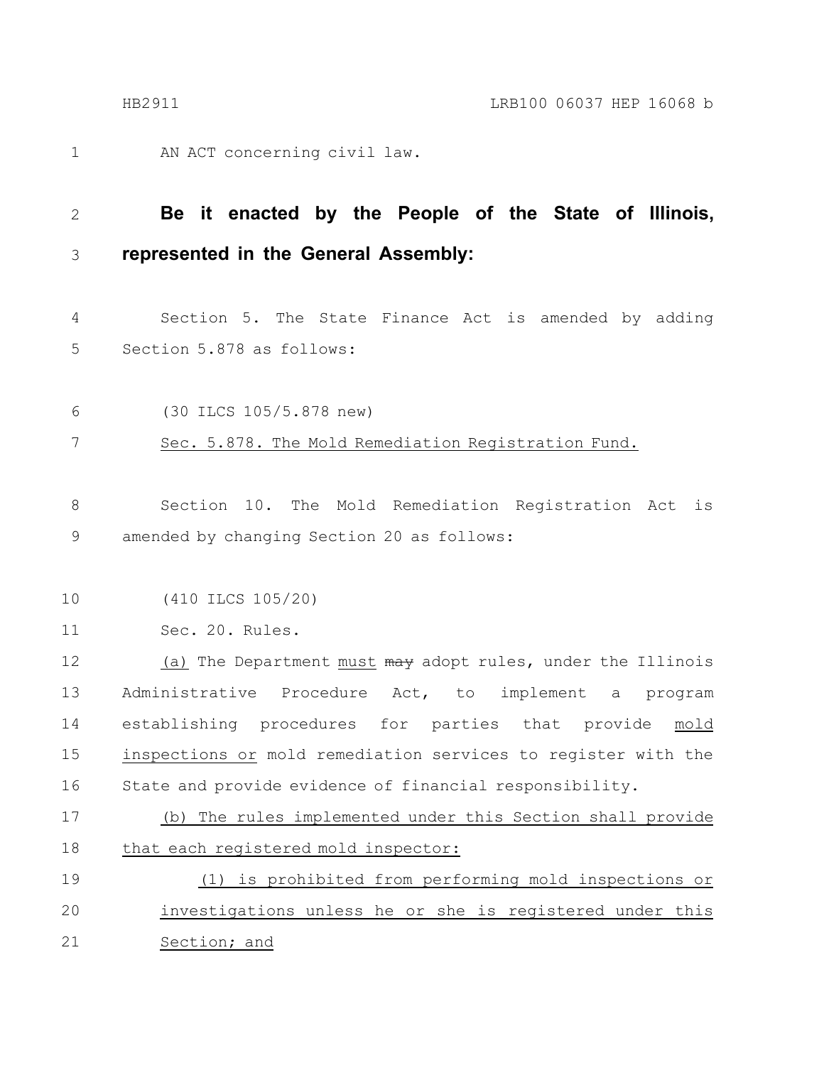AN ACT concerning civil law. 1

#### **Be it enacted by the People of the State of Illinois, represented in the General Assembly:** 2 3

Section 5. The State Finance Act is amended by adding Section 5.878 as follows: 4 5

(30 ILCS 105/5.878 new) 6

Sec. 5.878. The Mold Remediation Registration Fund. 7

Section 10. The Mold Remediation Registration Act is amended by changing Section 20 as follows: 8 9

(410 ILCS 105/20) 10

Sec. 20. Rules. 11

(a) The Department must  $\frac{m}{m}$  adopt rules, under the Illinois Administrative Procedure Act, to implement a program establishing procedures for parties that provide mold inspections or mold remediation services to register with the State and provide evidence of financial responsibility. 12 13 14 15 16

(b) The rules implemented under this Section shall provide that each registered mold inspector: 17 18

(1) is prohibited from performing mold inspections or investigations unless he or she is registered under this Section; and 19 20 21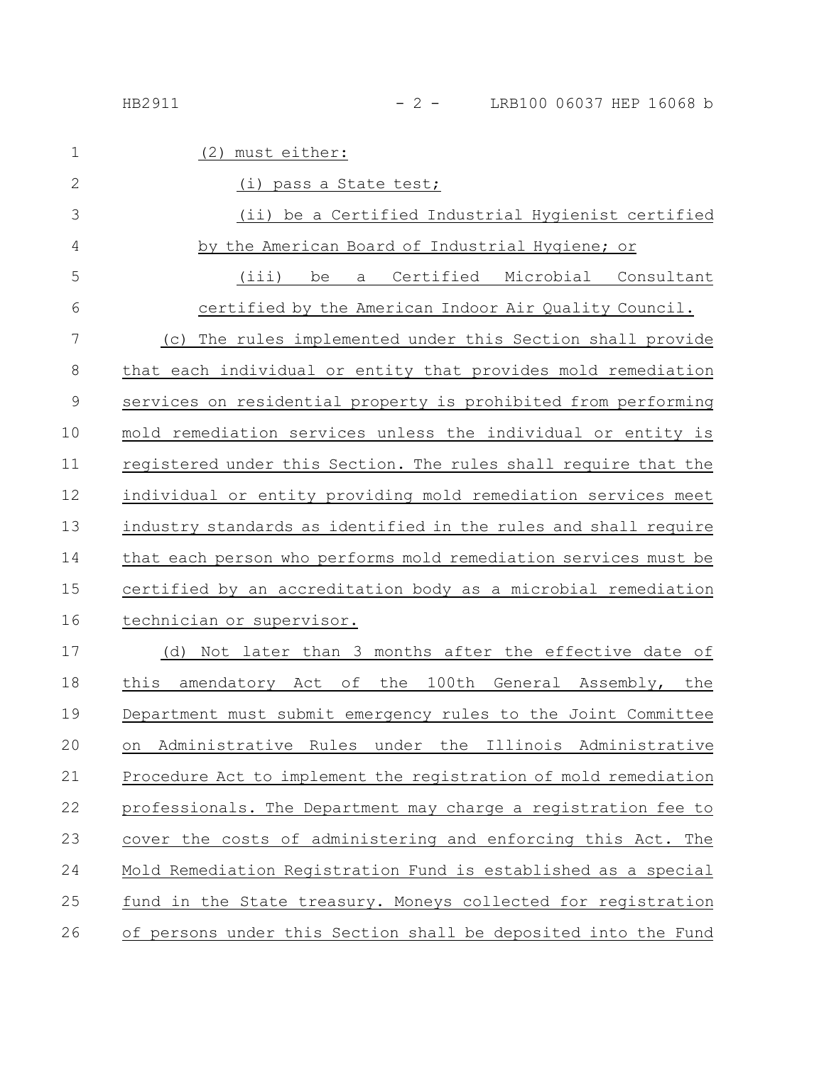| must either:<br>(2)                                             |
|-----------------------------------------------------------------|
| (i) pass a State test;                                          |
| (ii) be a Certified Industrial Hygienist certified              |
| by the American Board of Industrial Hygiene; or                 |
| (iii)<br>Certified Microbial Consultant<br>be<br>a              |
| certified by the American Indoor Air Quality Council.           |
| The rules implemented under this Section shall provide<br>(C)   |
| that each individual or entity that provides mold remediation   |
| services on residential property is prohibited from performing  |
| mold remediation services unless the individual or entity is    |
| registered under this Section. The rules shall require that the |
| individual or entity providing mold remediation services meet   |
| industry standards as identified in the rules and shall require |
| that each person who performs mold remediation services must be |
| certified by an accreditation body as a microbial remediation   |
| technician or supervisor.                                       |
| Not later than 3 months after the effective date of<br>(d)      |
| this amendatory Act of the 100th General Assembly, the          |
| Department must submit emergency rules to the Joint Committee   |
| Administrative Rules under the Illinois Administrative<br>on    |
| Procedure Act to implement the registration of mold remediation |
| professionals. The Department may charge a registration fee to  |
| cover the costs of administering and enforcing this Act. The    |
| Mold Remediation Registration Fund is established as a special  |
| fund in the State treasury. Moneys collected for registration   |
|                                                                 |

26 of persons under this Section shall be deposited into the Fund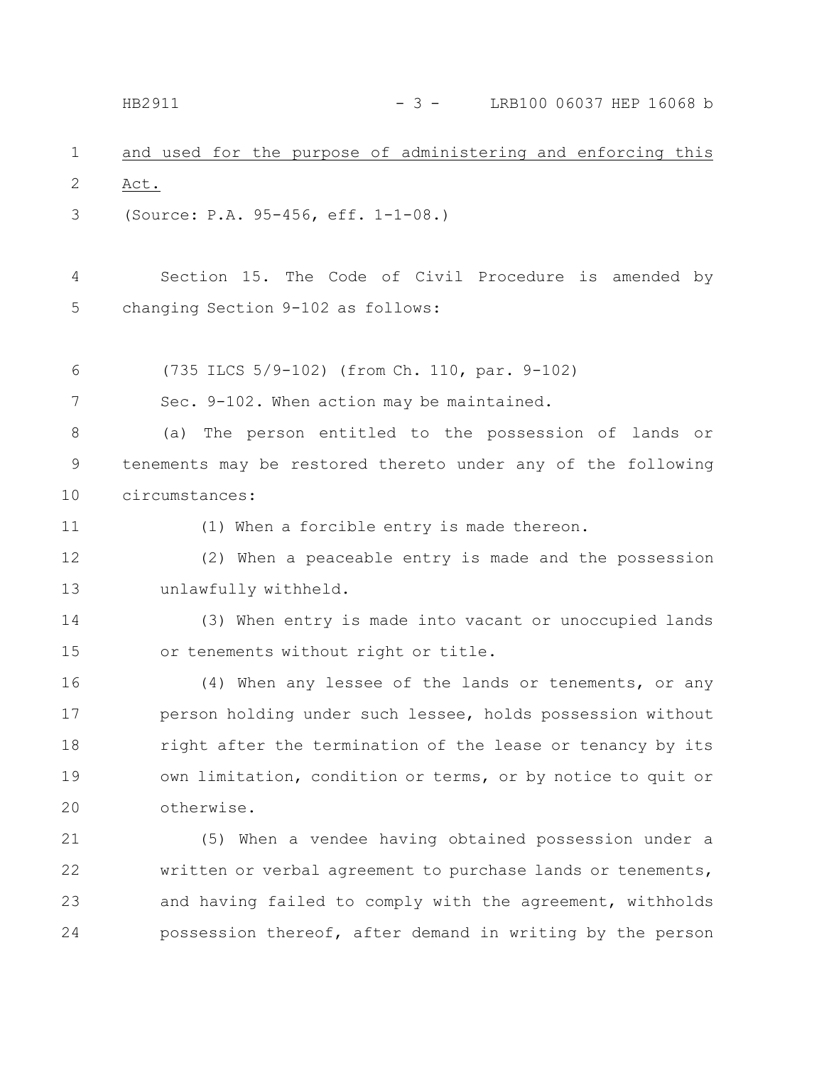|   |      |  |  | and used for the purpose of administering and enforcing this |  |  |
|---|------|--|--|--------------------------------------------------------------|--|--|
| 2 | Act. |  |  |                                                              |  |  |

(Source: P.A. 95-456, eff. 1-1-08.) 3

Section 15. The Code of Civil Procedure is amended by changing Section 9-102 as follows: 4 5

(735 ILCS 5/9-102) (from Ch. 110, par. 9-102) 6

Sec. 9-102. When action may be maintained. 7

(a) The person entitled to the possession of lands or tenements may be restored thereto under any of the following circumstances: 8 9 10

11

(1) When a forcible entry is made thereon.

(2) When a peaceable entry is made and the possession unlawfully withheld. 12 13

(3) When entry is made into vacant or unoccupied lands or tenements without right or title. 14 15

(4) When any lessee of the lands or tenements, or any person holding under such lessee, holds possession without right after the termination of the lease or tenancy by its own limitation, condition or terms, or by notice to quit or otherwise. 16 17 18 19 20

(5) When a vendee having obtained possession under a written or verbal agreement to purchase lands or tenements, and having failed to comply with the agreement, withholds possession thereof, after demand in writing by the person 21 22 23 24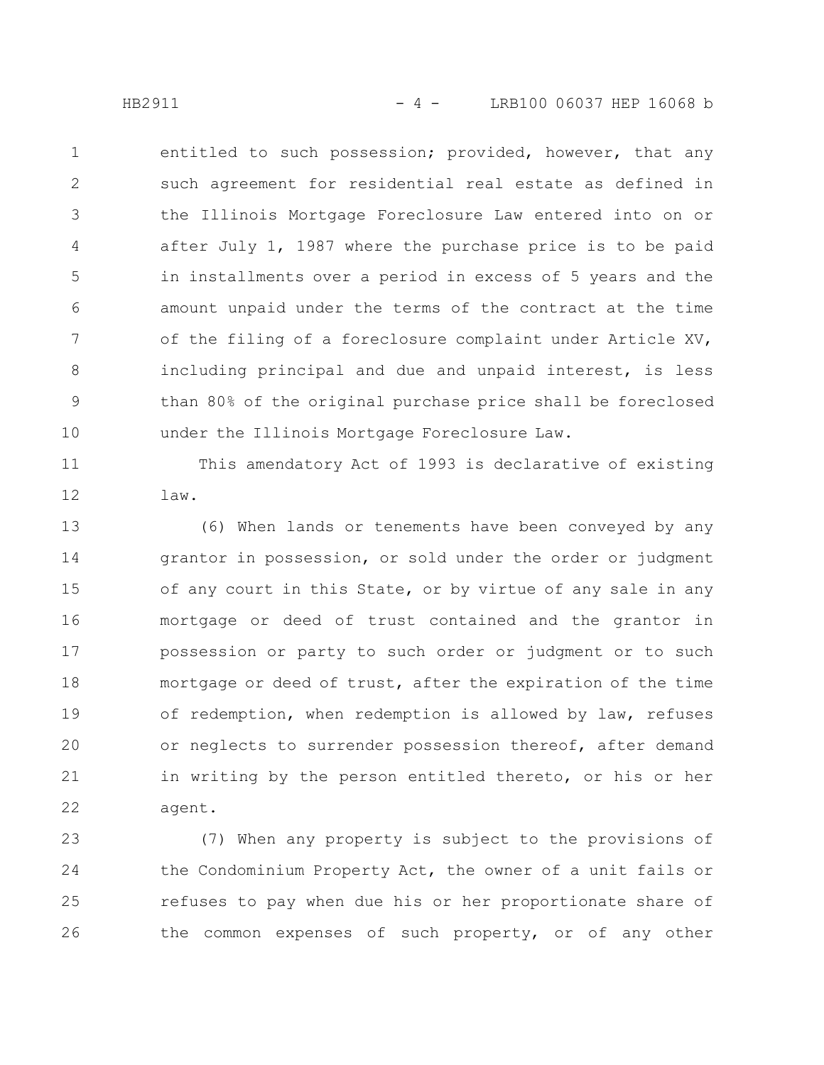entitled to such possession; provided, however, that any such agreement for residential real estate as defined in the Illinois Mortgage Foreclosure Law entered into on or after July 1, 1987 where the purchase price is to be paid in installments over a period in excess of 5 years and the amount unpaid under the terms of the contract at the time of the filing of a foreclosure complaint under Article XV, including principal and due and unpaid interest, is less than 80% of the original purchase price shall be foreclosed under the Illinois Mortgage Foreclosure Law. 1 2 3 4 5 6 7 8 9 10

This amendatory Act of 1993 is declarative of existing law. 11 12

(6) When lands or tenements have been conveyed by any grantor in possession, or sold under the order or judgment of any court in this State, or by virtue of any sale in any mortgage or deed of trust contained and the grantor in possession or party to such order or judgment or to such mortgage or deed of trust, after the expiration of the time of redemption, when redemption is allowed by law, refuses or neglects to surrender possession thereof, after demand in writing by the person entitled thereto, or his or her agent. 13 14 15 16 17 18 19 20 21 22

(7) When any property is subject to the provisions of the Condominium Property Act, the owner of a unit fails or refuses to pay when due his or her proportionate share of the common expenses of such property, or of any other 23 24 25 26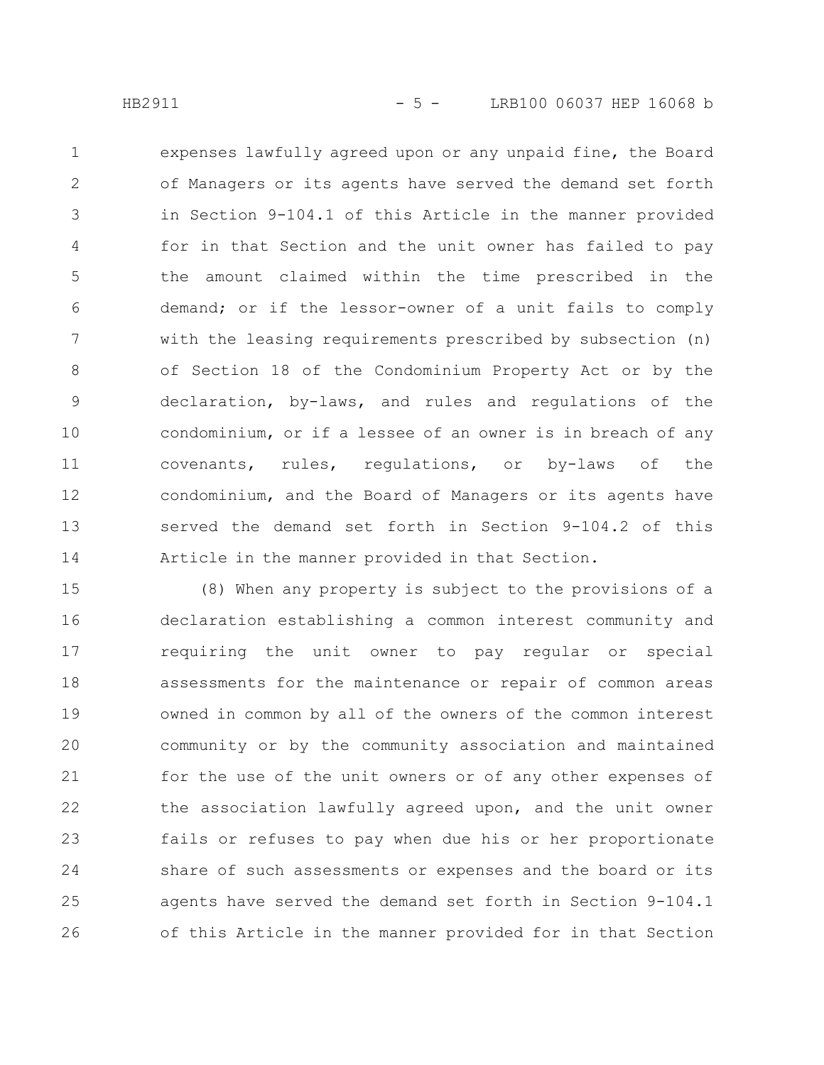expenses lawfully agreed upon or any unpaid fine, the Board of Managers or its agents have served the demand set forth in Section 9-104.1 of this Article in the manner provided for in that Section and the unit owner has failed to pay the amount claimed within the time prescribed in the demand; or if the lessor-owner of a unit fails to comply with the leasing requirements prescribed by subsection (n) of Section 18 of the Condominium Property Act or by the declaration, by-laws, and rules and regulations of the condominium, or if a lessee of an owner is in breach of any covenants, rules, regulations, or by-laws of the condominium, and the Board of Managers or its agents have served the demand set forth in Section 9-104.2 of this Article in the manner provided in that Section. 1 2 3 4 5 6 7 8 9 10 11 12 13 14

(8) When any property is subject to the provisions of a declaration establishing a common interest community and requiring the unit owner to pay regular or special assessments for the maintenance or repair of common areas owned in common by all of the owners of the common interest community or by the community association and maintained for the use of the unit owners or of any other expenses of the association lawfully agreed upon, and the unit owner fails or refuses to pay when due his or her proportionate share of such assessments or expenses and the board or its agents have served the demand set forth in Section 9-104.1 of this Article in the manner provided for in that Section 15 16 17 18 19 20 21 22 23 24 25 26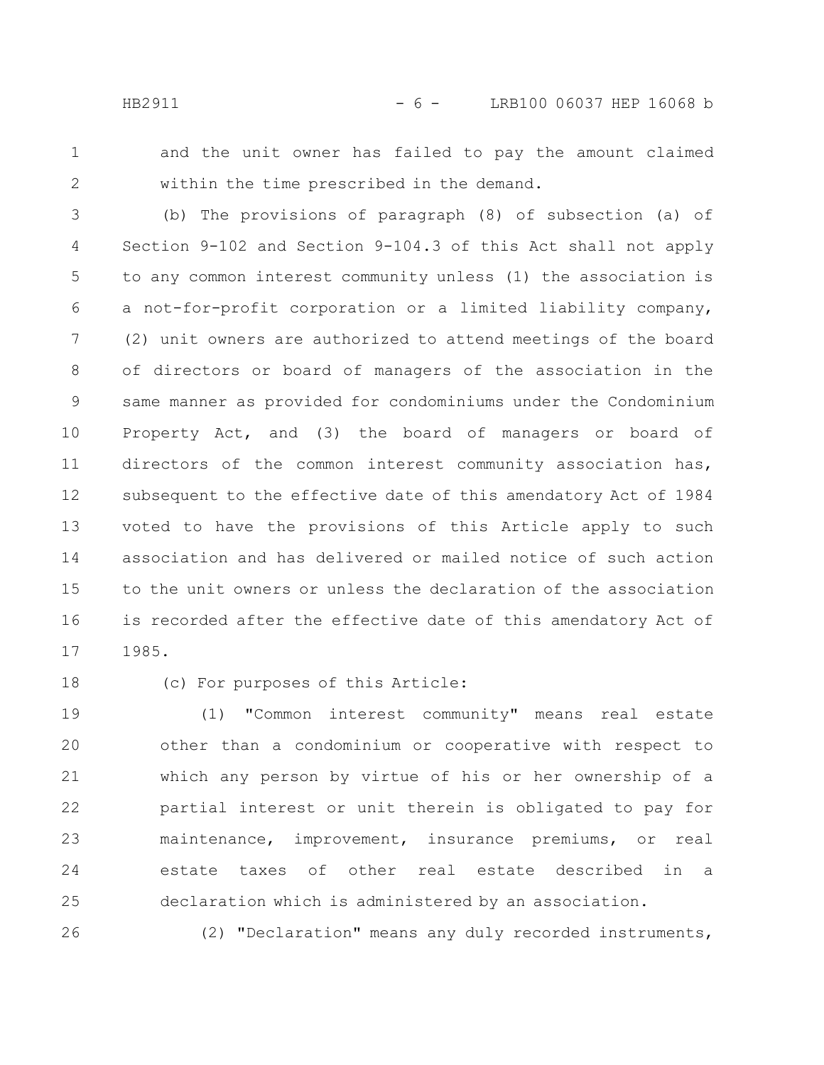1 2

and the unit owner has failed to pay the amount claimed within the time prescribed in the demand.

- (b) The provisions of paragraph (8) of subsection (a) of Section 9-102 and Section 9-104.3 of this Act shall not apply to any common interest community unless (1) the association is a not-for-profit corporation or a limited liability company, (2) unit owners are authorized to attend meetings of the board of directors or board of managers of the association in the same manner as provided for condominiums under the Condominium Property Act, and (3) the board of managers or board of directors of the common interest community association has, subsequent to the effective date of this amendatory Act of 1984 voted to have the provisions of this Article apply to such association and has delivered or mailed notice of such action to the unit owners or unless the declaration of the association is recorded after the effective date of this amendatory Act of 1985. 3 4 5 6 7 8 9 10 11 12 13 14 15 16 17
- 18

26

(c) For purposes of this Article:

(1) "Common interest community" means real estate other than a condominium or cooperative with respect to which any person by virtue of his or her ownership of a partial interest or unit therein is obligated to pay for maintenance, improvement, insurance premiums, or real estate taxes of other real estate described in a declaration which is administered by an association. 19 20 21 22 23 24 25

(2) "Declaration" means any duly recorded instruments,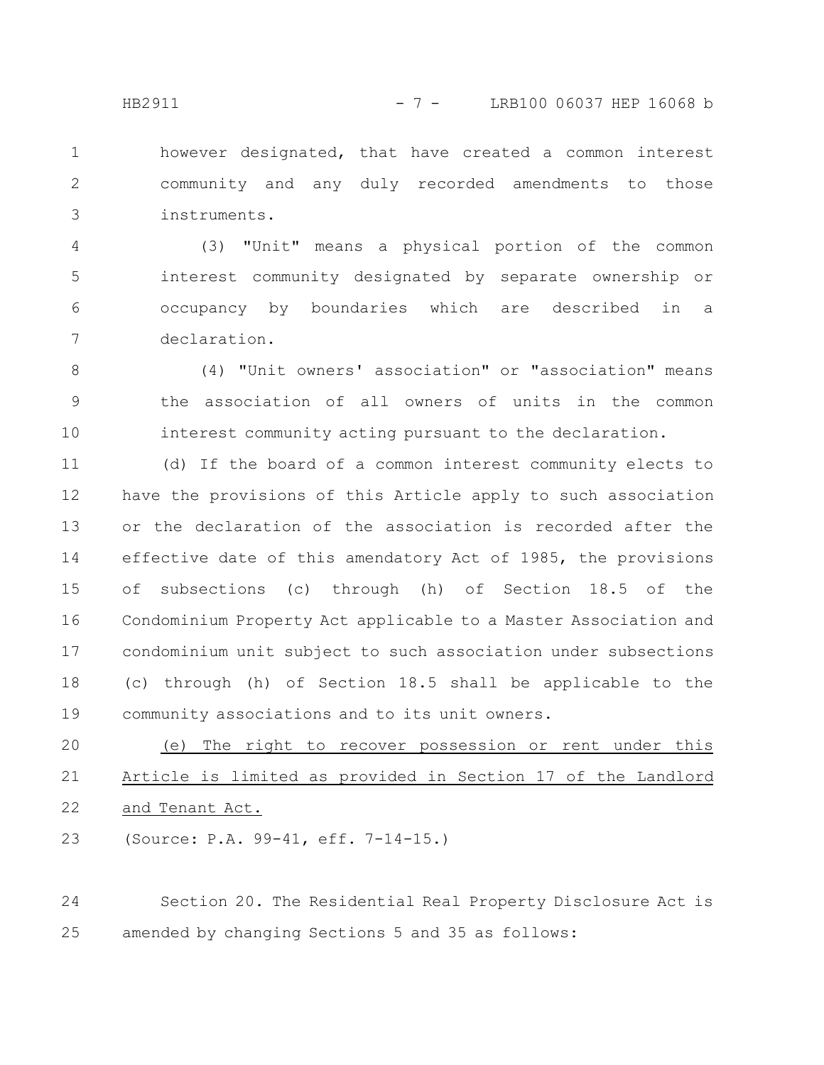however designated, that have created a common interest community and any duly recorded amendments to those instruments. 1 2 3

(3) "Unit" means a physical portion of the common interest community designated by separate ownership or occupancy by boundaries which are described in a declaration. 4 5 6 7

(4) "Unit owners' association" or "association" means the association of all owners of units in the common interest community acting pursuant to the declaration. 8 9 10

(d) If the board of a common interest community elects to have the provisions of this Article apply to such association or the declaration of the association is recorded after the effective date of this amendatory Act of 1985, the provisions of subsections (c) through (h) of Section 18.5 of the Condominium Property Act applicable to a Master Association and condominium unit subject to such association under subsections (c) through (h) of Section 18.5 shall be applicable to the community associations and to its unit owners. 11 12 13 14 15 16 17 18 19

(e) The right to recover possession or rent under this Article is limited as provided in Section 17 of the Landlord and Tenant Act. 20 21 22

(Source: P.A. 99-41, eff. 7-14-15.) 23

Section 20. The Residential Real Property Disclosure Act is amended by changing Sections 5 and 35 as follows: 24 25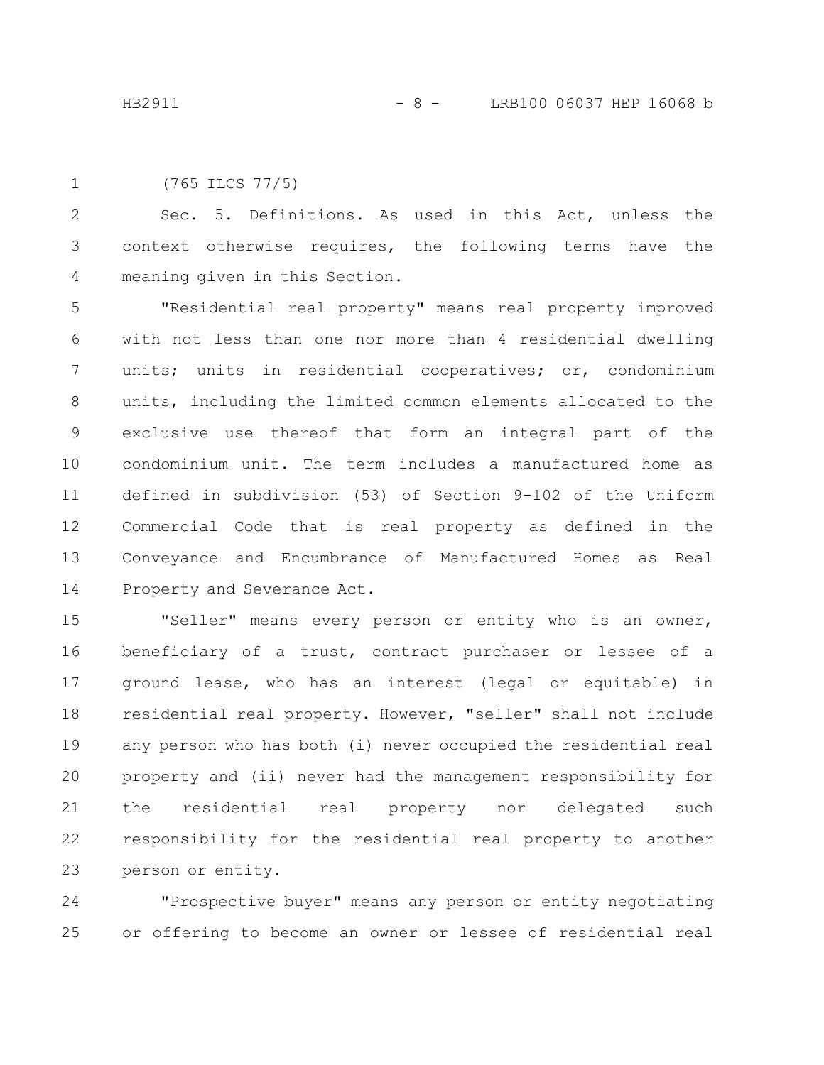```
(765 ILCS 77/5)
1
```
Sec. 5. Definitions. As used in this Act, unless the context otherwise requires, the following terms have the meaning given in this Section. 2 3 4

"Residential real property" means real property improved with not less than one nor more than 4 residential dwelling units; units in residential cooperatives; or, condominium units, including the limited common elements allocated to the exclusive use thereof that form an integral part of the condominium unit. The term includes a manufactured home as defined in subdivision (53) of Section 9-102 of the Uniform Commercial Code that is real property as defined in the Conveyance and Encumbrance of Manufactured Homes as Real Property and Severance Act. 5 6 7 8 9 10 11 12 13 14

"Seller" means every person or entity who is an owner, beneficiary of a trust, contract purchaser or lessee of a ground lease, who has an interest (legal or equitable) in residential real property. However, "seller" shall not include any person who has both (i) never occupied the residential real property and (ii) never had the management responsibility for the residential real property nor delegated such responsibility for the residential real property to another person or entity. 15 16 17 18 19 20 21 22 23

"Prospective buyer" means any person or entity negotiating or offering to become an owner or lessee of residential real 24 25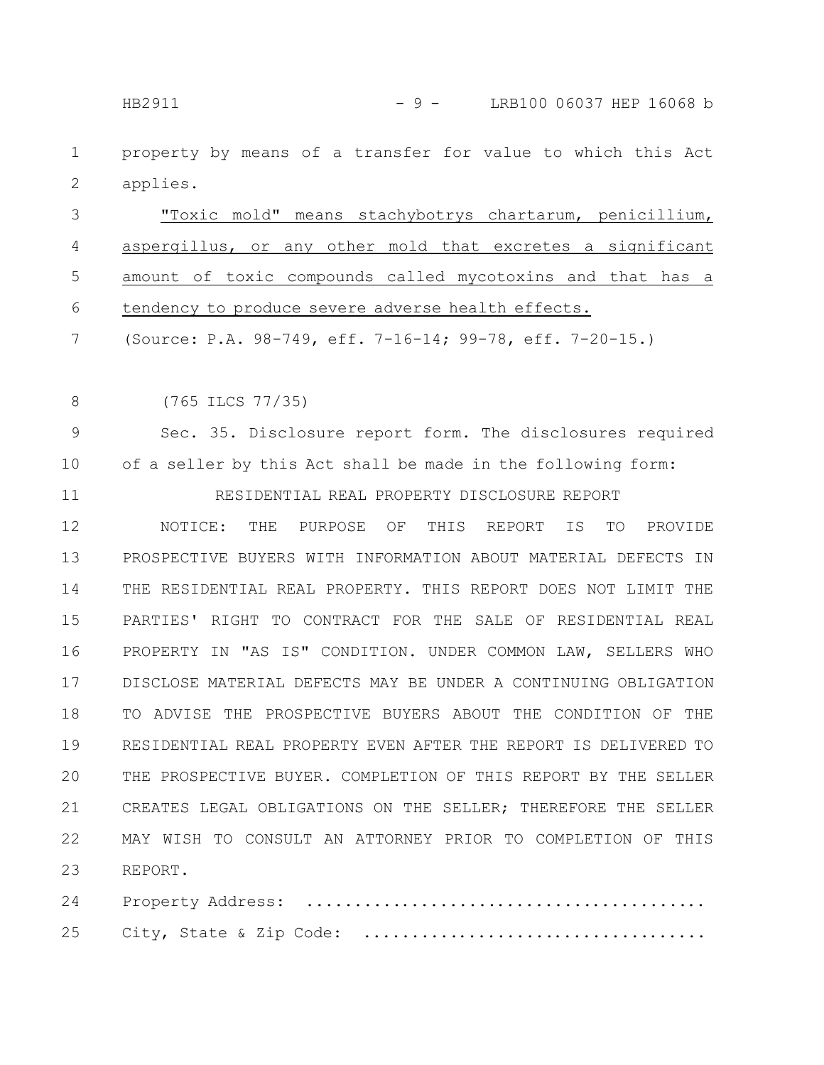HB2911 - 9 - LRB100 06037 HEP 16068 b

property by means of a transfer for value to which this Act applies. 1 2

"Toxic mold" means stachybotrys chartarum, penicillium, aspergillus, or any other mold that excretes a significant amount of toxic compounds called mycotoxins and that has a tendency to produce severe adverse health effects. 3 4 5 6

(Source: P.A. 98-749, eff. 7-16-14; 99-78, eff. 7-20-15.) 7

(765 ILCS 77/35) 8

Sec. 35. Disclosure report form. The disclosures required of a seller by this Act shall be made in the following form: 9 10

RESIDENTIAL REAL PROPERTY DISCLOSURE REPORT 11

NOTICE: THE PURPOSE OF THIS REPORT IS TO PROVIDE PROSPECTIVE BUYERS WITH INFORMATION ABOUT MATERIAL DEFECTS IN THE RESIDENTIAL REAL PROPERTY. THIS REPORT DOES NOT LIMIT THE PARTIES' RIGHT TO CONTRACT FOR THE SALE OF RESIDENTIAL REAL PROPERTY IN "AS IS" CONDITION. UNDER COMMON LAW, SELLERS WHO DISCLOSE MATERIAL DEFECTS MAY BE UNDER A CONTINUING OBLIGATION TO ADVISE THE PROSPECTIVE BUYERS ABOUT THE CONDITION OF THE RESIDENTIAL REAL PROPERTY EVEN AFTER THE REPORT IS DELIVERED TO THE PROSPECTIVE BUYER. COMPLETION OF THIS REPORT BY THE SELLER CREATES LEGAL OBLIGATIONS ON THE SELLER; THEREFORE THE SELLER MAY WISH TO CONSULT AN ATTORNEY PRIOR TO COMPLETION OF THIS REPORT. 12 13 14 15 16 17 18 19 20 21 22 23

Property Address: .......................................... City, State & Zip Code: .................................... 24 25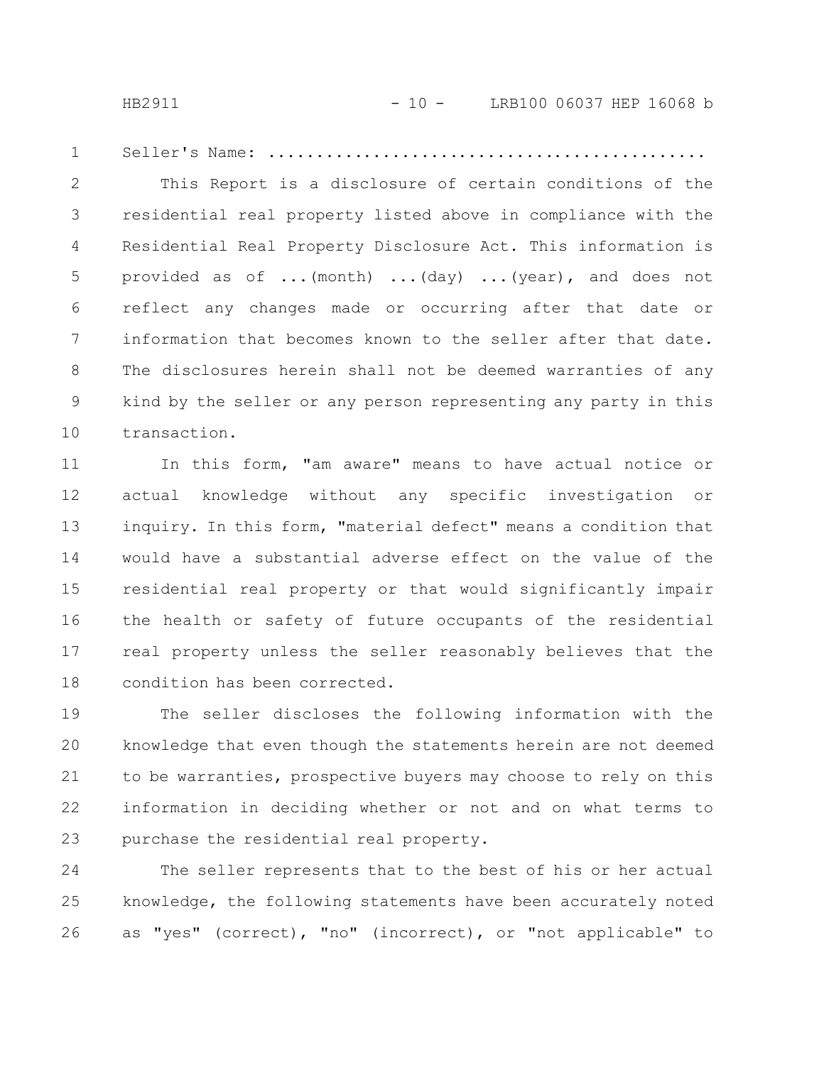Seller's Name: .............................................. 1

This Report is a disclosure of certain conditions of the residential real property listed above in compliance with the Residential Real Property Disclosure Act. This information is provided as of ...(month) ...(day) ...(year), and does not reflect any changes made or occurring after that date or information that becomes known to the seller after that date. The disclosures herein shall not be deemed warranties of any kind by the seller or any person representing any party in this transaction. 2 3 4 5 6 7 8 9 10

In this form, "am aware" means to have actual notice or actual knowledge without any specific investigation or inquiry. In this form, "material defect" means a condition that would have a substantial adverse effect on the value of the residential real property or that would significantly impair the health or safety of future occupants of the residential real property unless the seller reasonably believes that the condition has been corrected. 11 12 13 14 15 16 17 18

The seller discloses the following information with the knowledge that even though the statements herein are not deemed to be warranties, prospective buyers may choose to rely on this information in deciding whether or not and on what terms to purchase the residential real property. 19 20 21 22 23

The seller represents that to the best of his or her actual knowledge, the following statements have been accurately noted as "yes" (correct), "no" (incorrect), or "not applicable" to 24 25 26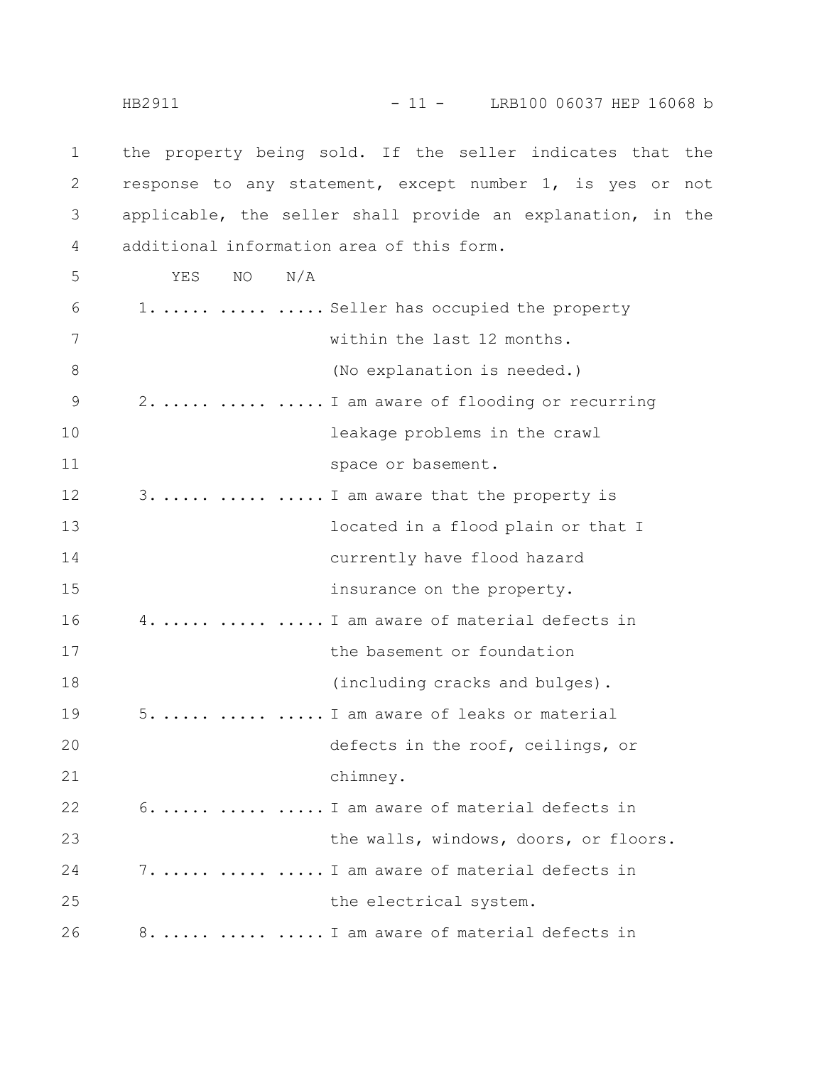the property being sold. If the seller indicates that the response to any statement, except number 1, is yes or not applicable, the seller shall provide an explanation, in the additional information area of this form. YES NO N/A 1. ..... ..... ..... Seller has occupied the property within the last 12 months. (No explanation is needed.) 2. ..... ..... ..... I am aware of flooding or recurring leakage problems in the crawl space or basement. 3. ..... ..... ..... I am aware that the property is located in a flood plain or that I currently have flood hazard insurance on the property. 4. ..... ..... ..... I am aware of material defects in the basement or foundation (including cracks and bulges). 5. ..... ..... ..... I am aware of leaks or material defects in the roof, ceilings, or chimney. 6. ..... ..... ..... I am aware of material defects in the walls, windows, doors, or floors. 7. ..... ..... ..... I am aware of material defects in the electrical system. 8. ..... ..... ..... I am aware of material defects in 1 2 3 4 5 6 7 8 9 10 11 12 13 14 15 16 17 18 19 20 21 22 23 24 25 26 HB2911 - 11 - LRB100 06037 HEP 16068 b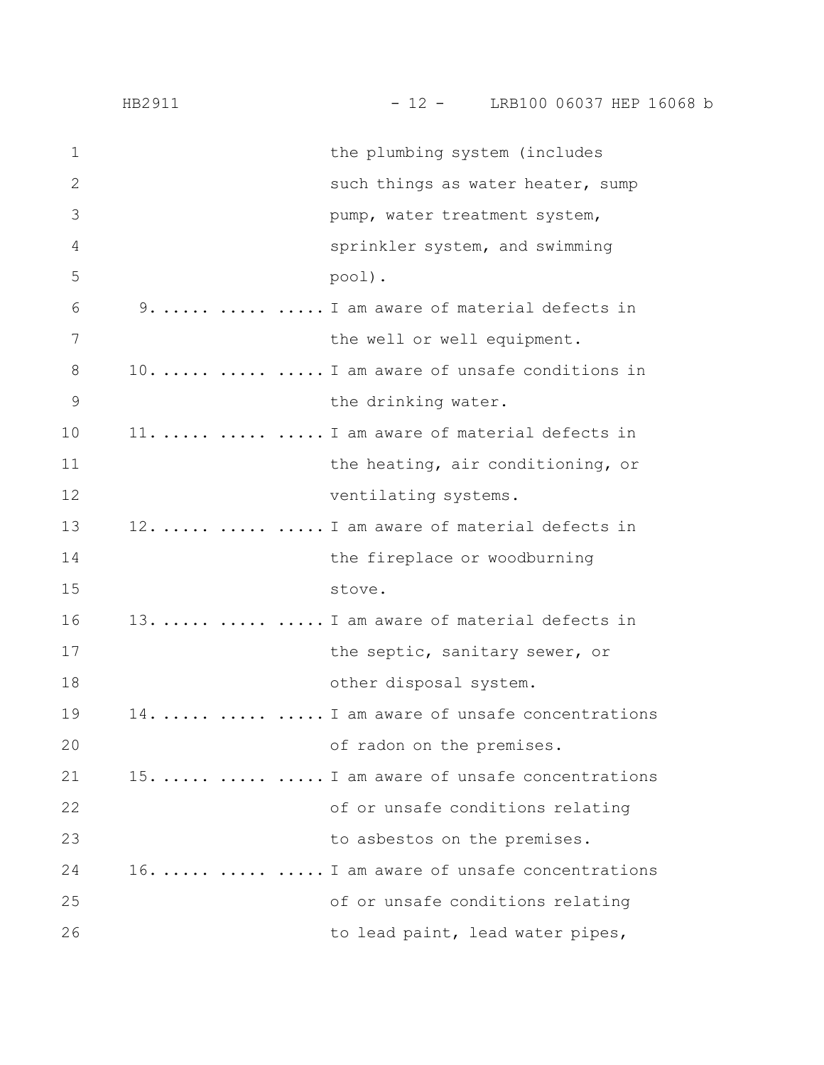|              | HB2911 | $-12 -$ LRB100 06037 HEP 16068 b           |
|--------------|--------|--------------------------------------------|
| $\mathbf{1}$ |        | the plumbing system (includes              |
| $\mathbf{2}$ |        | such things as water heater, sump          |
| 3            |        | pump, water treatment system,              |
| 4            |        | sprinkler system, and swimming             |
| 5            |        | pool).                                     |
| 6            |        | 9.    I am aware of material defects in    |
| 7            |        | the well or well equipment.                |
| 8            |        | 10.    I am aware of unsafe conditions in  |
| 9            |        | the drinking water.                        |
| 10           |        | 11.    I am aware of material defects in   |
| 11           |        | the heating, air conditioning, or          |
| 12           |        | ventilating systems.                       |
| 13           |        | 12.    I am aware of material defects in   |
| 14           |        | the fireplace or woodburning               |
| 15           |        | stove.                                     |
| 16           |        | 13.    I am aware of material defects in   |
| 17           |        | the septic, sanitary sewer, or             |
| 18           |        | other disposal system.                     |
| 19           |        | 14.    I am aware of unsafe concentrations |
| 20           |        | of radon on the premises.                  |
| 21           |        | 15.    I am aware of unsafe concentrations |
| 22           |        | of or unsafe conditions relating           |
| 23           |        | to asbestos on the premises.               |
| 24           |        | 16.    I am aware of unsafe concentrations |
| 25           |        | of or unsafe conditions relating           |
| 26           |        | to lead paint, lead water pipes,           |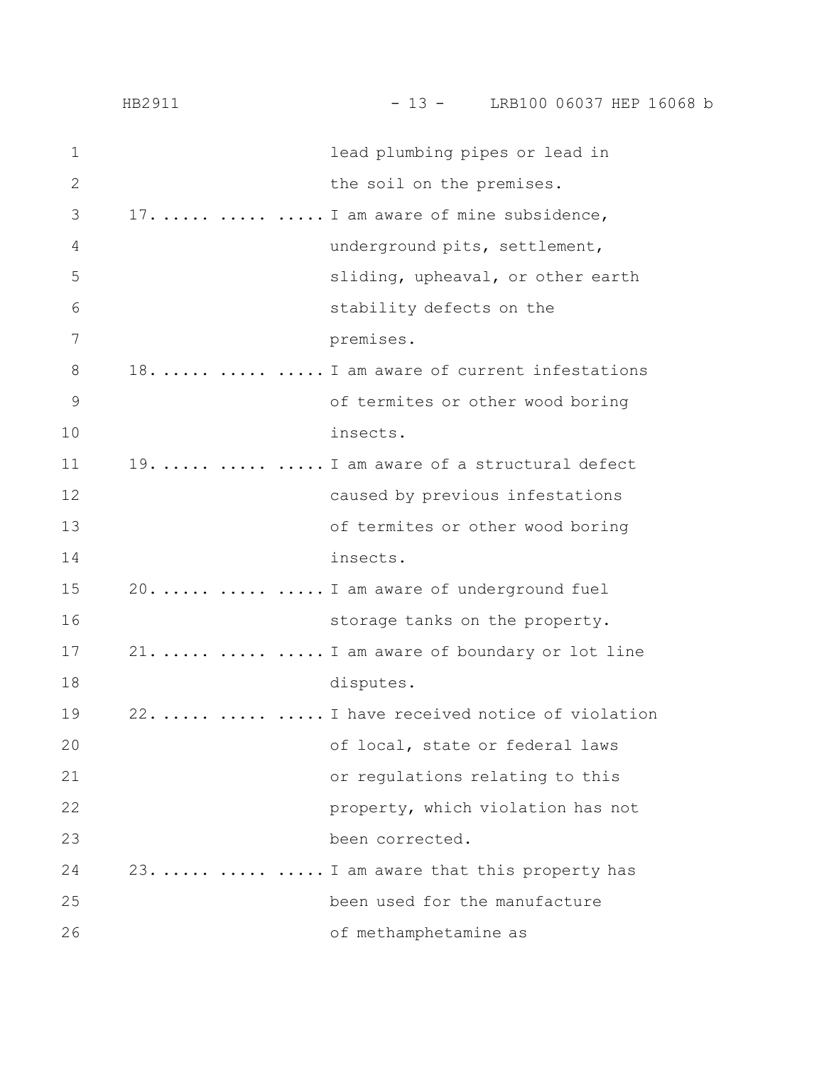|               | HB2911 | $-13 -$ LRB100 06037 HEP 16068 b           |
|---------------|--------|--------------------------------------------|
| 1             |        | lead plumbing pipes or lead in             |
| $\mathbf{2}$  |        | the soil on the premises.                  |
| 3             |        | 17.    I am aware of mine subsidence,      |
| 4             |        | underground pits, settlement,              |
| 5             |        | sliding, upheaval, or other earth          |
| 6             |        | stability defects on the                   |
| 7             |        | premises.                                  |
| 8             |        | 18.    I am aware of current infestations  |
| $\mathcal{G}$ |        | of termites or other wood boring           |
| 10            |        | insects.                                   |
| 11            |        | 19.    I am aware of a structural defect   |
| 12            |        | caused by previous infestations            |
| 13            |        | of termites or other wood boring           |
| 14            |        | insects.                                   |
| 15            |        | 20.    I am aware of underground fuel      |
| 16            |        | storage tanks on the property.             |
| 17            |        | 21.    I am aware of boundary or lot line  |
| 18            |        | disputes.                                  |
| 19            |        | 22.    I have received notice of violation |
| 20            |        | of local, state or federal laws            |
| 21            |        | or regulations relating to this            |
| 22            |        | property, which violation has not          |
| 23            |        | been corrected.                            |
| 24            |        | 23.    I am aware that this property has   |
| 25            |        | been used for the manufacture              |
| 26            |        | of methamphetamine as                      |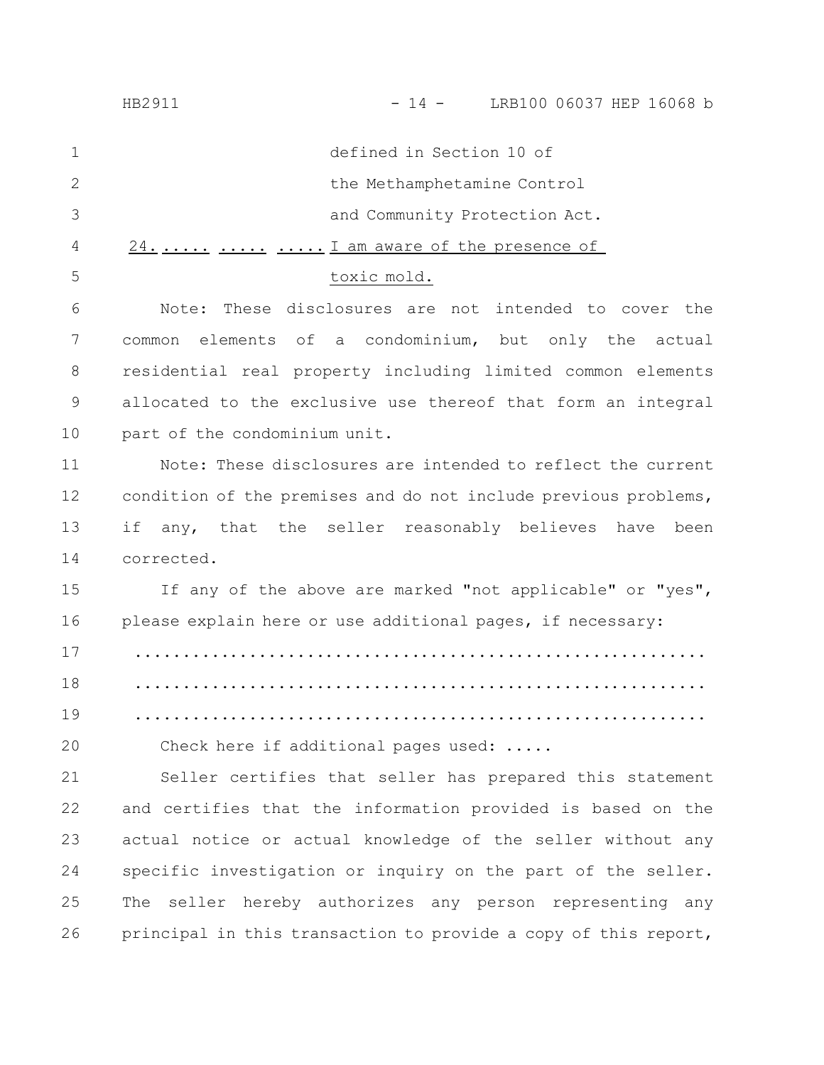|              | LRB100 06037 HEP 16068 b<br>HB2911<br>$-14 -$                   |
|--------------|-----------------------------------------------------------------|
| $\mathbf 1$  | defined in Section 10 of                                        |
| $\mathbf{2}$ | the Methamphetamine Control                                     |
| 3            | and Community Protection Act.                                   |
| 4            | $24.$ $\ldots$ $\ldots$ I am aware of the presence of           |
| 5            | toxic mold.                                                     |
| 6            | These disclosures are not intended to cover the<br>Note:        |
| 7            | elements of a condominium, but only the actual<br>common        |
| $8\,$        | residential real property including limited common elements     |
| $\mathsf 9$  | allocated to the exclusive use thereof that form an integral    |
| 10           | part of the condominium unit.                                   |
| 11           | Note: These disclosures are intended to reflect the current     |
| 12           | condition of the premises and do not include previous problems, |
| 13           | any, that the seller reasonably believes have<br>if<br>been     |
| 14           | corrected.                                                      |
| 15           | If any of the above are marked "not applicable" or "yes",       |
| 16           | please explain here or use additional pages, if necessary:      |
| 17           |                                                                 |
| 18           |                                                                 |
| 19           |                                                                 |
| 20           | Check here if additional pages used:                            |
| 21           | Seller certifies that seller has prepared this statement        |
| 22           | and certifies that the information provided is based on the     |
| 23           | actual notice or actual knowledge of the seller without any     |
| 24           | specific investigation or inquiry on the part of the seller.    |
| 25           | The seller hereby authorizes any person representing any        |
|              |                                                                 |

26 principal in this transaction to provide a copy of this report,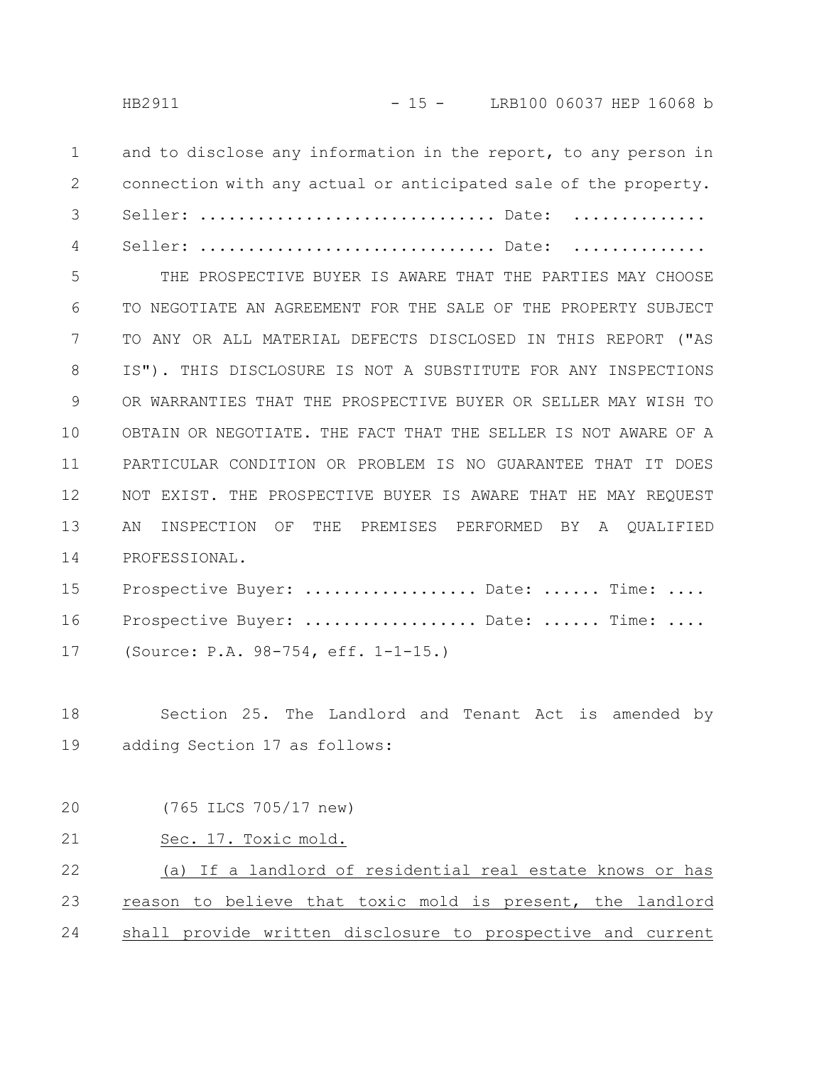Seller: ............................... Date: ..............

and to disclose any information in the report, to any person in connection with any actual or anticipated sale of the property. Seller: ............................... Date: .............. 1 2 3

4

THE PROSPECTIVE BUYER IS AWARE THAT THE PARTIES MAY CHOOSE TO NEGOTIATE AN AGREEMENT FOR THE SALE OF THE PROPERTY SUBJECT TO ANY OR ALL MATERIAL DEFECTS DISCLOSED IN THIS REPORT ("AS IS"). THIS DISCLOSURE IS NOT A SUBSTITUTE FOR ANY INSPECTIONS OR WARRANTIES THAT THE PROSPECTIVE BUYER OR SELLER MAY WISH TO OBTAIN OR NEGOTIATE. THE FACT THAT THE SELLER IS NOT AWARE OF A PARTICULAR CONDITION OR PROBLEM IS NO GUARANTEE THAT IT DOES NOT EXIST. THE PROSPECTIVE BUYER IS AWARE THAT HE MAY REQUEST AN INSPECTION OF THE PREMISES PERFORMED BY A QUALIFIED PROFESSIONAL. 5 6 7 8 9 10 11 12 13 14

Prospective Buyer: .................... Date: ...... Time: .... Prospective Buyer: ................... Date: ...... Time: .... (Source: P.A. 98-754, eff. 1-1-15.) 15 16 17

Section 25. The Landlord and Tenant Act is amended by adding Section 17 as follows: 18 19

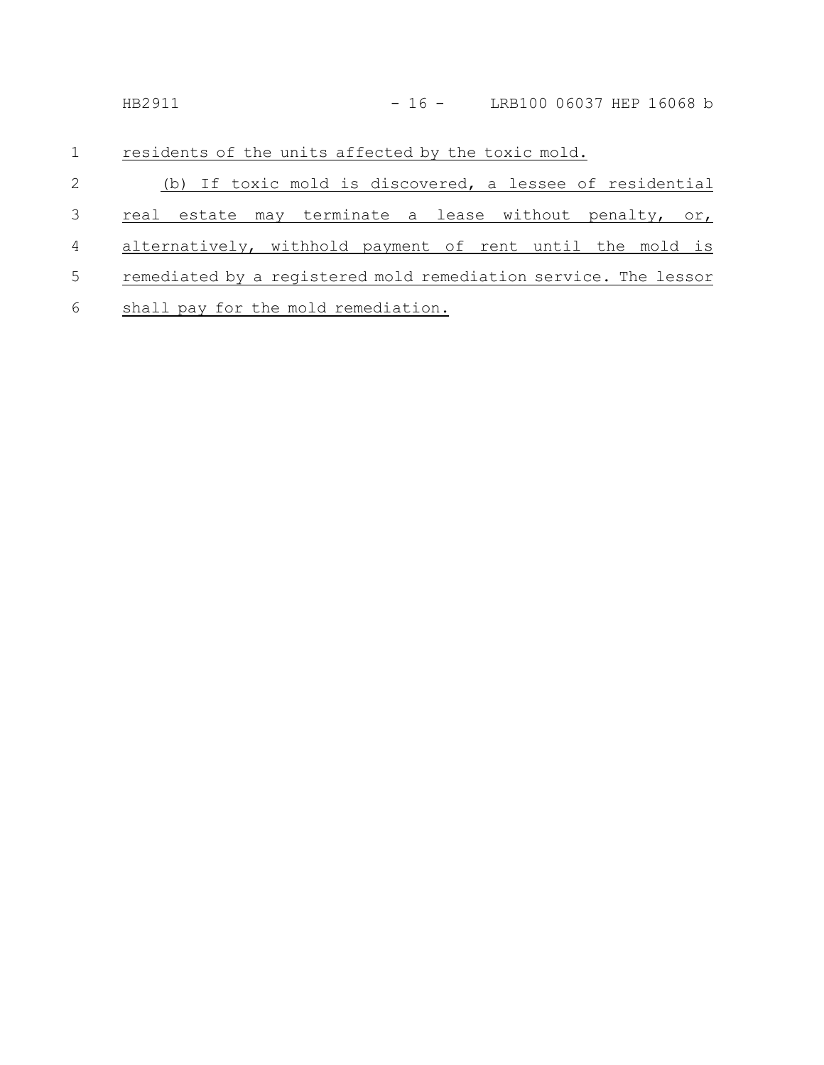| LRB100 06037 HEP 16068 b<br>HB2911<br>$-16 -$ |  |  |
|-----------------------------------------------|--|--|
|-----------------------------------------------|--|--|

residents of the units affected by the toxic mold. 1

| $2 \left( \frac{1}{2} \right)$ | (b) If toxic mold is discovered, a lessee of residential          |
|--------------------------------|-------------------------------------------------------------------|
|                                | 3 real estate may terminate a lease without penalty, or,          |
|                                | 4 alternatively, withhold payment of rent until the mold is       |
|                                | 5 remediated by a registered mold remediation service. The lessor |
|                                | 6 shall pay for the mold remediation.                             |